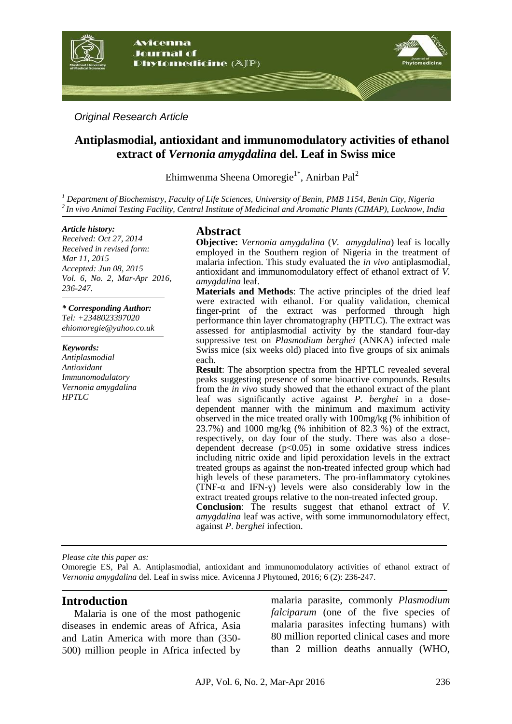

*Original Research Article*

# **Antiplasmodial, antioxidant and immunomodulatory activities of ethanol extract of** *Vernonia amygdalina* **del. Leaf in Swiss mice**

Ehimwenma Sheena Omoregie<sup>1\*</sup>, Anirban Pal<sup>2</sup>

*<sup>1</sup> Department of Biochemistry, Faculty of Life Sciences, University of Benin, PMB 1154, Benin City, Nigeria <sup>2</sup>In vivo Animal Testing Facility, Central Institute of Medicinal and Aromatic Plants (CIMAP), Lucknow, India*

#### *Article history:*

*Received: Oct 27, 2014 Received in revised form: Mar 11, 2015 Accepted: Jun 08, 2015 Vol. 6, No. 2, Mar-Apr 2016, 236-247.*

*\* Corresponding Author:*

*Tel: +2348023397020 [ehiomoregie@yahoo.co.uk](mailto:ehiomoregie@yahoo.co.uk)*

#### *Keywords:*

*Antiplasmodial Antioxidant Immunomodulatory Vernonia amygdalina HPTLC*

# **Abstract**

**Objective:** *Vernonia amygdalina* (*V. amygdalina*) leaf is locally employed in the Southern region of Nigeria in the treatment of malaria infection. This study evaluated the *in vivo* antiplasmodial, antioxidant and immunomodulatory effect of ethanol extract of *V. amygdalina* leaf.

**Materials and Methods**: The active principles of the dried leaf were extracted with ethanol. For quality validation, chemical finger-print of the extract was performed through high performance thin layer chromatography (HPTLC). The extract was assessed for antiplasmodial activity by the standard four-day suppressive test on *Plasmodium berghei* (ANKA) infected male Swiss mice (six weeks old) placed into five groups of six animals each.

**Result**: The absorption spectra from the HPTLC revealed several peaks suggesting presence of some bioactive compounds. Results from the *in vivo* study showed that the ethanol extract of the plant leaf was significantly active against *P. berghei* in a dosedependent manner with the minimum and maximum activity observed in the mice treated orally with 100mg/kg (% inhibition of 23.7%) and 1000 mg/kg (% inhibition of 82.3 %) of the extract, respectively, on day four of the study. There was also a dosedependent decrease (p<0.05) in some oxidative stress indices including nitric oxide and lipid peroxidation levels in the extract treated groups as against the non-treated infected group which had high levels of these parameters. The pro-inflammatory cytokines (TNF- $\alpha$  and IFN- $\gamma$ ) levels were also considerably low in the extract treated groups relative to the non-treated infected group. **Conclusion**: The results suggest that ethanol extract of *V. amygdalina* leaf was active, with some immunomodulatory effect, against *P*. *berghei* infection.

*Please cite this paper as:*

Omoregie ES, Pal A. Antiplasmodial, antioxidant and immunomodulatory activities of ethanol extract of *Vernonia amygdalina* del. Leaf in swiss mice. Avicenna J Phytomed, 2016; 6 (2): 236-247.

### **Introduction**

Malaria is one of the most pathogenic diseases in endemic areas of Africa, Asia and Latin America with more than (350- 500) million people in Africa infected by

malaria parasite, commonly *Plasmodium falciparum* (one of the five species of malaria parasites infecting humans) with 80 million reported clinical cases and more than 2 million deaths annually (WHO,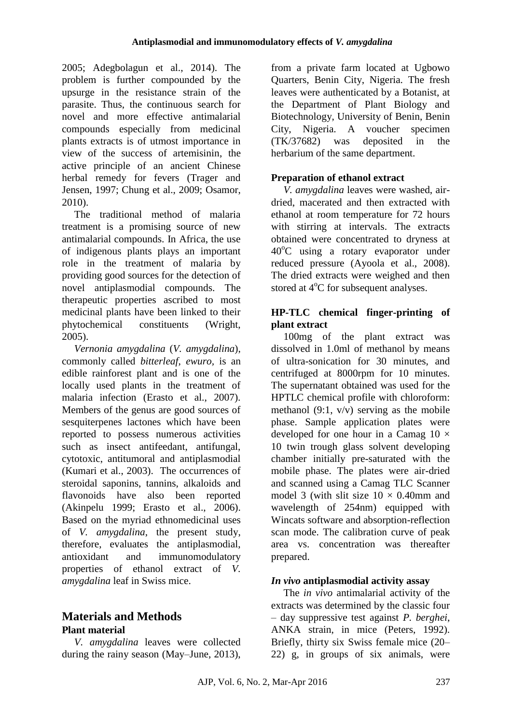2005; Adegbolagun et al., 2014). The problem is further compounded by the upsurge in the resistance strain of the parasite. Thus, the continuous search for novel and more effective antimalarial compounds especially from medicinal plants extracts is of utmost importance in view of the success of artemisinin, the active principle of an ancient Chinese herbal remedy for fevers (Trager and Jensen, 1997; Chung et al., 2009; Osamor, 2010).

The traditional method of malaria treatment is a promising source of new antimalarial compounds. In Africa, the use of indigenous plants plays an important role in the treatment of malaria by providing good sources for the detection of novel antiplasmodial compounds. The therapeutic properties ascribed to most medicinal plants have been linked to their phytochemical constituents (Wright, 2005).

*Vernonia amygdalina* (*V. amygdalina*), commonly called *bitterleaf*, *ewuro,* is an edible rainforest plant and is one of the locally used plants in the treatment of malaria infection (Erasto et al., 2007). Members of the genus are good sources of sesquiterpenes lactones which have been reported to possess numerous activities such as insect antifeedant, antifungal, cytotoxic, antitumoral and antiplasmodial (Kumari et al., 2003). The occurrences of steroidal saponins, tannins, alkaloids and flavonoids have also been reported (Akinpelu 1999; Erasto et al., 2006). Based on the myriad ethnomedicinal uses of *V. amygdalina*, the present study, therefore, evaluates the antiplasmodial, antioxidant and immunomodulatory properties of ethanol extract of *V. amygdalina* leaf in Swiss mice.

# **Materials and Methods Plant material**

*V. amygdalina* leaves were collected during the rainy season (May–June, 2013),

from a private farm located at Ugbowo Quarters, Benin City, Nigeria. The fresh leaves were authenticated by a Botanist, at the Department of Plant Biology and Biotechnology, University of Benin, Benin City, Nigeria. A voucher specimen (TK/37682) was deposited in the herbarium of the same department.

# **Preparation of ethanol extract**

*V. amygdalina* leaves were washed, airdried, macerated and then extracted with ethanol at room temperature for 72 hours with stirring at intervals. The extracts obtained were concentrated to dryness at  $40^{\circ}$ C using a rotary evaporator under reduced pressure (Ayoola et al., 2008). The dried extracts were weighed and then stored at  $4^{\circ}$ C for subsequent analyses.

# **HP-TLC chemical finger-printing of plant extract**

100mg of the plant extract was dissolved in 1.0ml of methanol by means of ultra-sonication for 30 minutes, and centrifuged at 8000rpm for 10 minutes. The supernatant obtained was used for the HPTLC chemical profile with chloroform: methanol  $(9:1, v/v)$  serving as the mobile phase. Sample application plates were developed for one hour in a Camag  $10 \times$ 10 twin trough glass solvent developing chamber initially pre-saturated with the mobile phase. The plates were air-dried and scanned using a Camag TLC Scanner model 3 (with slit size  $10 \times 0.40$ mm and wavelength of 254nm) equipped with Wincats software and absorption-reflection scan mode. The calibration curve of peak area vs. concentration was thereafter prepared.

# *In vivo* **antiplasmodial activity assay**

The *in vivo* antimalarial activity of the extracts was determined by the classic four – day suppressive test against *P. berghei*, ANKA strain, in mice (Peters, 1992). Briefly, thirty six Swiss female mice (20– 22) g, in groups of six animals, were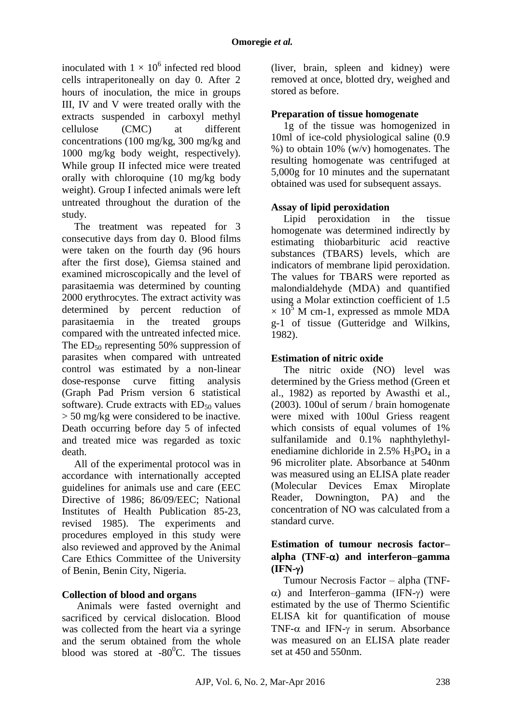inoculated with  $1 \times 10^6$  infected red blood cells intraperitoneally on day 0. After 2 hours of inoculation, the mice in groups III, IV and V were treated orally with the extracts suspended in carboxyl methyl cellulose (CMC) at different concentrations (100 mg/kg, 300 mg/kg and 1000 mg/kg body weight, respectively). While group II infected mice were treated orally with chloroquine (10 mg/kg body weight). Group I infected animals were left untreated throughout the duration of the study.

The treatment was repeated for 3 consecutive days from day 0. Blood films were taken on the fourth day (96 hours after the first dose), Giemsa stained and examined microscopically and the level of parasitaemia was determined by counting 2000 erythrocytes. The extract activity was determined by percent reduction of parasitaemia in the treated groups compared with the untreated infected mice. The  $ED_{50}$  representing 50% suppression of parasites when compared with untreated control was estimated by a non-linear dose-response curve fitting analysis (Graph Pad Prism version 6 statistical software). Crude extracts with  $ED_{50}$  values > 50 mg/kg were considered to be inactive. Death occurring before day 5 of infected and treated mice was regarded as toxic death.

All of the experimental protocol was in accordance with internationally accepted guidelines for animals use and care (EEC Directive of 1986; 86/09/EEC; National Institutes of Health Publication 85-23, revised 1985). The experiments and procedures employed in this study were also reviewed and approved by the Animal Care Ethics Committee of the University of Benin, Benin City, Nigeria.

# **Collection of blood and organs**

Animals were fasted overnight and sacrificed by cervical dislocation. Blood was collected from the heart via a syringe and the serum obtained from the whole blood was stored at  $-80^{\circ}$ C. The tissues (liver, brain, spleen and kidney) were removed at once, blotted dry, weighed and stored as before.

# **Preparation of tissue homogenate**

1g of the tissue was homogenized in 10ml of ice-cold physiological saline (0.9 %) to obtain  $10\%$  (w/y) homogenates. The resulting homogenate was centrifuged at 5,000g for 10 minutes and the supernatant obtained was used for subsequent assays.

### **Assay of lipid peroxidation**

Lipid peroxidation in the tissue homogenate was determined indirectly by estimating thiobarbituric acid reactive substances (TBARS) levels, which are indicators of membrane lipid peroxidation. The values for TBARS were reported as malondialdehyde (MDA) and quantified using a Molar extinction coefficient of 1.5  $\times$  10<sup>5</sup> M cm-1, expressed as mmole MDA g-1 of tissue (Gutteridge and Wilkins, 1982).

# **Estimation of nitric oxide**

The nitric oxide (NO) level was determined by the Griess method (Green et al., 1982) as reported by Awasthi et al., (2003). 100ul of serum / brain homogenate were mixed with 100ul Griess reagent which consists of equal volumes of 1% sulfanilamide and 0.1% naphthylethylenediamine dichloride in  $2.5\%$  H<sub>3</sub>PO<sub>4</sub> in a 96 microliter plate. Absorbance at 540nm was measured using an ELISA plate reader (Molecular Devices Emax Miroplate Reader, Downington, PA) and the concentration of NO was calculated from a standard curve.

# **Estimation of tumour necrosis factor– alpha (TNF-) and interferon–gamma (IFN-)**

Tumour Necrosis Factor – alpha (TNF-  $\alpha$ ) and Interferon–gamma (IFN- $\gamma$ ) were estimated by the use of Thermo Scientific ELISA kit for quantification of mouse TNF- $\alpha$  and IFN- $\gamma$  in serum. Absorbance was measured on an ELISA plate reader set at 450 and 550nm.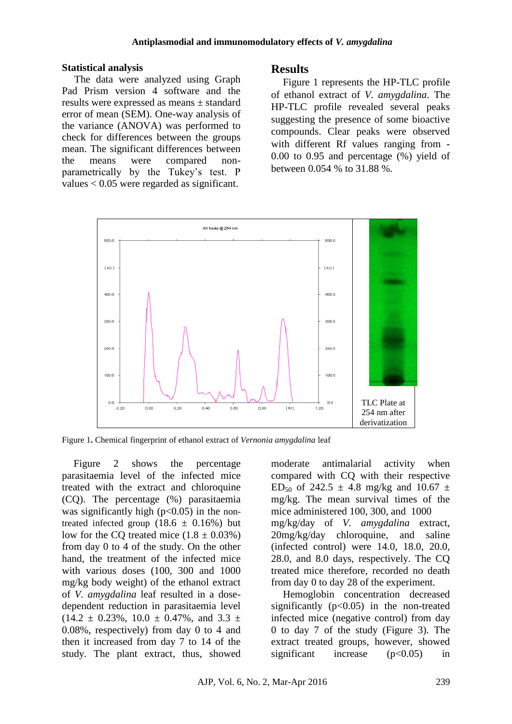### **Statistical analysis**

The data were analyzed using Graph Pad Prism version 4 software and the results were expressed as means ± standard error of mean (SEM). One-way analysis of the variance (ANOVA) was performed to check for differences between the groups mean. The significant differences between the means were compared nonparametrically by the Tukey's test. P values < 0.05 were regarded as significant.

# **Results**

Figure 1 represents the HP-TLC profile of ethanol extract of *V. amygdalina*. The HP-TLC profile revealed several peaks suggesting the presence of some bioactive compounds. Clear peaks were observed with different Rf values ranging from - 0.00 to 0.95 and percentage (%) yield of between 0.054 % to 31.88 %.



Figure 1**.** Chemical fingerprint of ethanol extract of *Vernonia amygdalina* leaf

Figure 2 shows the percentage parasitaemia level of the infected mice treated with the extract and chloroquine (CQ). The percentage (%) parasitaemia was significantly high  $(p<0.05)$  in the nontreated infected group  $(18.6 \pm 0.16\%)$  but low for the CO treated mice  $(1.8 \pm 0.03\%)$ from day 0 to 4 of the study. On the other hand, the treatment of the infected mice with various doses (100, 300 and 1000 mg/kg body weight) of the ethanol extract of *V. amygdalina* leaf resulted in a dosedependent reduction in parasitaemia level  $(14.2 \pm 0.23\%, 10.0 \pm 0.47\%, \text{ and } 3.3 \pm 1.01\%)$ 0.08%, respectively) from day 0 to 4 and then it increased from day 7 to 14 of the study. The plant extract, thus, showed moderate antimalarial activity when compared with CQ with their respective ED<sub>50</sub> of 242.5  $\pm$  4.8 mg/kg and 10.67  $\pm$ mg/kg. The mean survival times of the mice administered 100, 300, and 1000 mg/kg/day of *V. amygdalina* extract, 20mg/kg/day chloroquine, and saline (infected control) were 14.0, 18.0, 20.0, 28.0, and 8.0 days, respectively. The CQ treated mice therefore, recorded no death from day 0 to day 28 of the experiment.

Hemoglobin concentration decreased significantly  $(p<0.05)$  in the non-treated infected mice (negative control) from day 0 to day 7 of the study (Figure 3). The extract treated groups, however, showed significant increase  $(p<0.05)$  in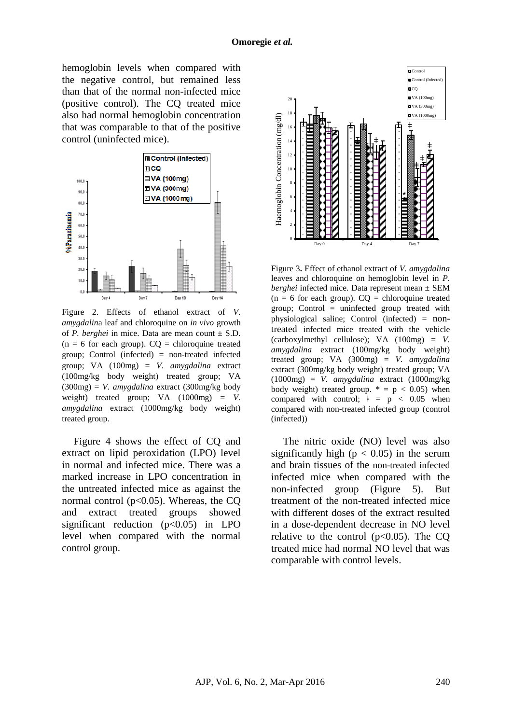hemoglobin levels when compared with the negative control, but remained less than that of the normal non-infected mice (positive control). The CQ treated mice also had normal hemoglobin concentration that was comparable to that of the positive control (uninfected mice).



Figure 2. Effects of ethanol extract of *V. amygdalin*a leaf and chloroquine on *in vivo* growth of *P. berghei* in mice. Data are mean count  $\pm$  S.D.  $(n = 6$  for each group).  $CQ =$  chloroquine treated group; Control (infected) = non-treated infected group; VA (100mg) = *V. amygdalina* extract (100mg/kg body weight) treated group; VA (300mg) = *V. amygdalina* extract (300mg/kg body weight) treated group; VA (1000mg) = *V. amygdalina* extract (1000mg/kg body weight) treated group.

Figure 4 shows the effect of CQ and extract on lipid peroxidation (LPO) level in normal and infected mice. There was a marked increase in LPO concentration in the untreated infected mice as against the normal control ( $p<0.05$ ). Whereas, the CQ and extract treated groups showed significant reduction  $(p<0.05)$  in LPO level when compared with the normal control group.



Figure 3**.** Effect of ethanol extract of *V. amygdalina* leaves and chloroquine on hemoglobin level in *P. berghei* infected mice. Data represent mean ± SEM  $(n = 6$  for each group).  $CO =$  chloroquine treated group; Control  $=$  uninfected group treated with physiological saline; Control (infected) = nontreated infected mice treated with the vehicle (carboxylmethyl cellulose); VA (100mg) = *V. amygdalina* extract (100mg/kg body weight) treated group; VA (300mg) = *V. amygdalina* extract (300mg/kg body weight) treated group; VA (1000mg) = *V. amygdalina* extract (1000mg/kg body weight) treated group.  $* = p < 0.05$ ) when compared with control;  $\pm$  = p < 0.05 when compared with non-treated infected group (control (infected))

The nitric oxide (NO) level was also significantly high ( $p < 0.05$ ) in the serum and brain tissues of the non-treated infected infected mice when compared with the non-infected group (Figure 5). But treatment of the non-treated infected mice with different doses of the extract resulted in a dose-dependent decrease in NO level relative to the control  $(p<0.05)$ . The CQ treated mice had normal NO level that was comparable with control levels.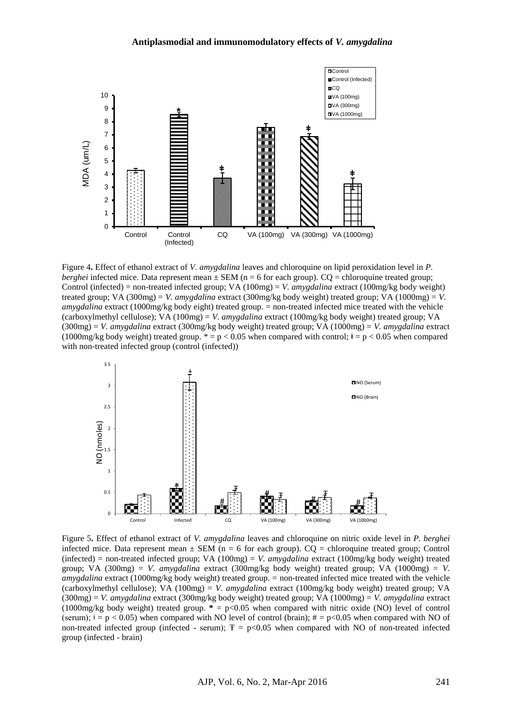#### **Antiplasmodial and immunomodulatory effects of** *V. amygdalina*



Figure 4**.** Effect of ethanol extract of *V. amygdalina* leaves and chloroquine on lipid peroxidation level in *P. berghei* infected mice. Data represent mean  $\pm$  SEM (n = 6 for each group). CQ = chloroquine treated group; Control (infected) = non-treated infected group; VA (100mg) = *V. amygdalina* extract (100mg/kg body weight) treated group; VA (300mg) = *V. amygdalina* extract (300mg/kg body weight) treated group; VA (1000mg) = *V. amygdalina* extract (1000mg/kg body eight) treated group. = non-treated infected mice treated with the vehicle (carboxylmethyl cellulose); VA (100mg) = *V. amygdalina* extract (100mg/kg body weight) treated group; VA (300mg) = *V. amygdalina* extract (300mg/kg body weight) treated group; VA (1000mg) = *V. amygdalina* extract (1000mg/kg body weight) treated group.  $* = p < 0.05$  when compared with control;  $* = p < 0.05$  when compared with non-treated infected group (control (infected))



Figure 5**.** Effect of ethanol extract of *V. amygdalina* leaves and chloroquine on nitric oxide level in *P. berghei* infected mice. Data represent mean  $\pm$  SEM (n = 6 for each group). CQ = chloroquine treated group; Control (infected) = non-treated infected group; VA (100mg) = *V. amygdalina* extract (100mg/kg body weight) treated group; VA (300mg) = *V. amygdalina* extract (300mg/kg body weight) treated group; VA (1000mg) = *V. amygdalina* extract (1000mg/kg body weight) treated group. = non-treated infected mice treated with the vehicle (carboxylmethyl cellulose); VA (100mg) = *V. amygdalina* extract (100mg/kg body weight) treated group; VA (300mg) = *V. amygdalina* extract (300mg/kg body weight) treated group; VA (1000mg) = *V. amygdalina* extract (1000mg/kg body weight) treated group. **\*** = p<0.05 when compared with nitric oxide (NO) level of control (serum);  $\neq$  = p < 0.05) when compared with NO level of control (brain);  $\neq$  = p < 0.05 when compared with NO of non-treated infected group (infected - serum);  $T = p<0.05$  when compared with NO of non-treated infected group (infected - brain)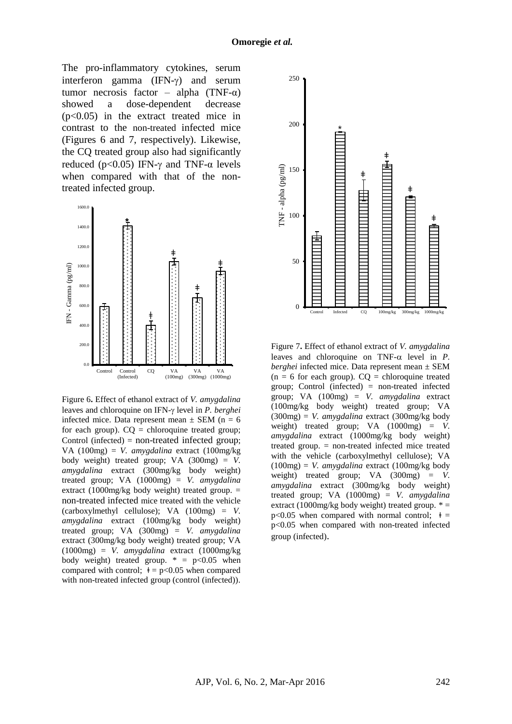The pro-inflammatory cytokines, serum interferon gamma  $(IFN-\gamma)$  and serum tumor necrosis factor – alpha (TNF- $\alpha$ ) showed a dose-dependent decrease (p<0.05) in the extract treated mice in contrast to the non-treated infected mice (Figures 6 and 7, respectively). Likewise, the CQ treated group also had significantly reduced ( $p<0.05$ ) IFN- $\gamma$  and TNF- $\alpha$  levels when compared with that of the nontreated infected group.



Figure 6**.** Effect of ethanol extract of *V. amygdalina* leaves and chloroquine on IFN- $\gamma$  level in *P. berghei* infected mice. Data represent mean  $\pm$  SEM (n = 6) for each group).  $CO =$  chloroquine treated group; Control (infected) = non-treated infected group; VA (100mg) = *V. amygdalina* extract (100mg/kg body weight) treated group; VA (300mg) = *V. amygdalina* extract (300mg/kg body weight) treated group; VA (1000mg) = *V. amygdalina* extract (1000mg/kg body weight) treated group.  $=$ non-treated infected mice treated with the vehicle (carboxylmethyl cellulose); VA (100mg) = *V. amygdalina* extract (100mg/kg body weight) treated group; VA (300mg) = *V. amygdalina* extract (300mg/kg body weight) treated group; VA (1000mg) = *V. amygdalina* extract (1000mg/kg body weight) treated group.  $* = p<0.05$  when compared with control;  $\dot{\tau} = p \langle 0.05 \rangle$  when compared with non-treated infected group (control (infected)).



Figure 7**.** Effect of ethanol extract of *V. amygdalina* leaves and chloroquine on TNF- $\alpha$  level in *P*. *berghei* infected mice. Data represent mean ± SEM  $(n = 6$  for each group).  $CQ =$  chloroquine treated group; Control (infected) = non-treated infected group; VA (100mg) = *V. amygdalina* extract (100mg/kg body weight) treated group; VA (300mg) = *V. amygdalina* extract (300mg/kg body weight) treated group; VA (1000mg) = *V. amygdalina* extract (1000mg/kg body weight) treated group. = non-treated infected mice treated with the vehicle (carboxylmethyl cellulose); VA (100mg) = *V. amygdalina* extract (100mg/kg body weight) treated group; VA (300mg) = *V. amygdalina* extract (300mg/kg body weight) treated group; VA (1000mg) = *V. amygdalina* extract (1000mg/kg body weight) treated group.  $* =$  $p<0.05$  when compared with normal control;  $\dot{\tau}$  = p<0.05 when compared with non-treated infected group (infected).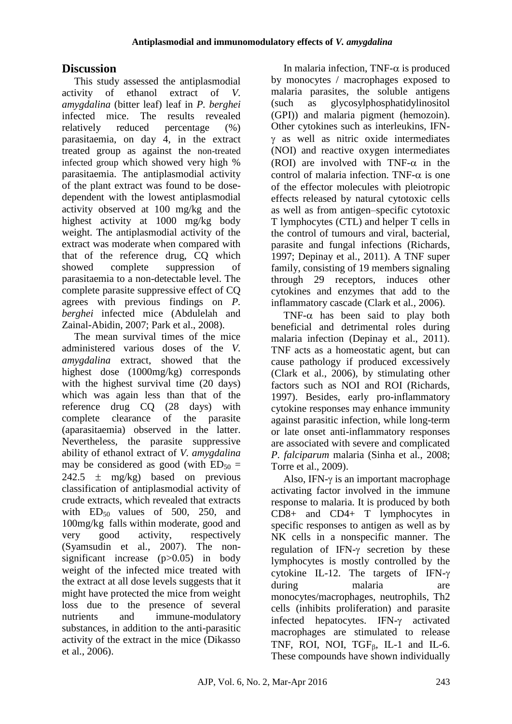# **Discussion**

This study assessed the antiplasmodial activity of ethanol extract of *V. amygdalina* (bitter leaf) leaf in *P. berghei* infected mice. The results revealed relatively reduced percentage (%) parasitaemia, on day 4, in the extract treated group as against the non-treated infected group which showed very high % parasitaemia. The antiplasmodial activity of the plant extract was found to be dosedependent with the lowest antiplasmodial activity observed at 100 mg/kg and the highest activity at 1000 mg/kg body weight. The antiplasmodial activity of the extract was moderate when compared with that of the reference drug, CQ which showed complete suppression of parasitaemia to a non-detectable level. The complete parasite suppressive effect of CQ agrees with previous findings on *P. berghei* infected mice (Abdulelah and Zainal-Abidin, 2007; Park et al., 2008).

The mean survival times of the mice administered various doses of the *V. amygdalina* extract, showed that the highest dose (1000mg/kg) corresponds with the highest survival time (20 days) which was again less than that of the reference drug CQ (28 days) with complete clearance of the parasite (aparasitaemia) observed in the latter. Nevertheless, the parasite suppressive ability of ethanol extract of *V. amygdalina* may be considered as good (with  $ED_{50} =$ 242.5  $\pm$  mg/kg) based on previous classification of antiplasmodial activity of crude extracts, which revealed that extracts with  $ED_{50}$  values of 500, 250, and 100mg/kg falls within moderate, good and very good activity, respectively (Syamsudin et al., 2007). The nonsignificant increase (p>0.05) in body weight of the infected mice treated with the extract at all dose levels suggests that it might have protected the mice from weight loss due to the presence of several nutrients and immune-modulatory substances, in addition to the anti-parasitic activity of the extract in the mice (Dikasso et al., 2006).

In malaria infection, TNF- $\alpha$  is produced by monocytes / macrophages exposed to malaria parasites, the soluble antigens (such as glycosylphosphatidylinositol (GPI)) and malaria pigment (hemozoin). Other cytokines such as interleukins, IFN-  $\gamma$  as well as nitric oxide intermediates (NOI) and reactive oxygen intermediates (ROI) are involved with TNF- $\alpha$  in the control of malaria infection. TNF- $\alpha$  is one of the effector molecules with pleiotropic effects released by natural cytotoxic cells as well as from antigen–specific cytotoxic T lymphocytes (CTL) and helper T cells in the control of tumours and viral, bacterial, parasite and fungal infections (Richards, 1997; Depinay et al., 2011). A TNF super family, consisting of 19 members signaling through 29 receptors, induces other cytokines and enzymes that add to the inflammatory cascade (Clark et al*.,* 2006).

TNF- $\alpha$  has been said to play both beneficial and detrimental roles during malaria infection (Depinay et al., 2011). TNF acts as a homeostatic agent, but can cause pathology if produced excessively (Clark et al., 2006), by stimulating other factors such as NOI and ROI (Richards, 1997). Besides, early pro-inflammatory cytokine responses may enhance immunity against parasitic infection, while long-term or late onset anti-inflammatory responses are associated with severe and complicated *P. falciparum* malaria (Sinha et al., 2008; Torre et al., 2009).

Also, IFN- $\gamma$  is an important macrophage activating factor involved in the immune response to malaria. It is produced by both CD8+ and CD4+ T lymphocytes in specific responses to antigen as well as by NK cells in a nonspecific manner. The regulation of IFN- $\gamma$  secretion by these lymphocytes is mostly controlled by the cytokine IL-12. The targets of IFN- $\gamma$ during malaria are monocytes/macrophages, neutrophils, Th2 cells (inhibits proliferation) and parasite infected hepatocytes. IFN- $\gamma$  activated macrophages are stimulated to release TNF, ROI, NOI,  $TGF_B$ , IL-1 and IL-6. These compounds have shown individually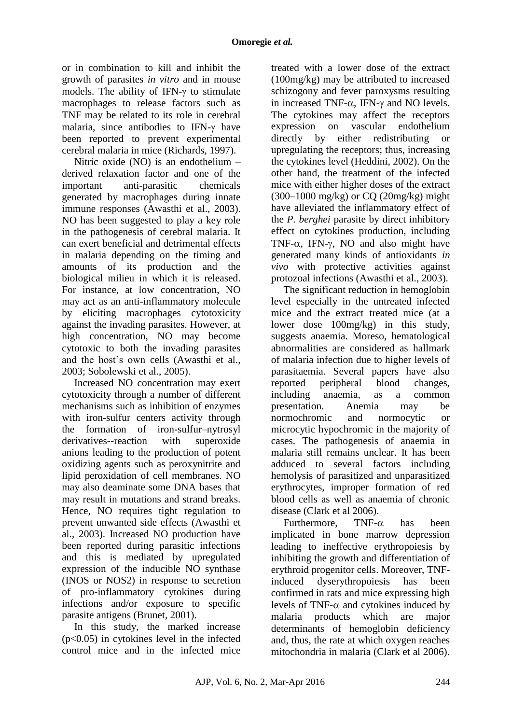or in combination to kill and inhibit the growth of parasites *in vitro* and in mouse models. The ability of IFN- $\nu$  to stimulate macrophages to release factors such as TNF may be related to its role in cerebral malaria, since antibodies to IFN- $\gamma$  have been reported to prevent experimental cerebral malaria in mice (Richards, 1997).

Nitric oxide (NO) is an endothelium – derived relaxation factor and one of the important anti-parasitic chemicals generated by macrophages during innate immune responses (Awasthi et al., 2003). NO has been suggested to play a key role in the pathogenesis of cerebral malaria. It can exert beneficial and detrimental effects in malaria depending on the timing and amounts of its production and the biological milieu in which it is released. For instance, at low concentration, NO may act as an anti-inflammatory molecule by eliciting macrophages cytotoxicity against the invading parasites. However, at high concentration, NO may become cytotoxic to both the invading parasites and the host's own cells (Awasthi et al., 2003; Sobolewski et al., 2005).

Increased NO concentration may exert cytotoxicity through a number of different mechanisms such as inhibition of enzymes with iron-sulfur centers activity through the formation of iron-sulfur–nytrosyl derivatives--reaction with superoxide anions leading to the production of potent oxidizing agents such as peroxynitrite and lipid peroxidation of cell membranes. NO may also deaminate some DNA bases that may result in mutations and strand breaks. Hence, NO requires tight regulation to prevent unwanted side effects (Awasthi et al., 2003). Increased NO production have been reported during parasitic infections and this is mediated by upregulated expression of the inducible NO synthase (INOS or NOS2) in response to secretion of pro-inflammatory cytokines during infections and/or exposure to specific parasite antigens (Brunet, 2001).

In this study, the marked increase (p<0.05) in cytokines level in the infected control mice and in the infected mice

treated with a lower dose of the extract (100mg/kg) may be attributed to increased schizogony and fever paroxysms resulting in increased TNF- $\alpha$ . IFN- $\gamma$  and NO levels. The cytokines may affect the receptors expression on vascular endothelium directly by either redistributing or upregulating the receptors; thus, increasing the cytokines level (Heddini, 2002). On the other hand, the treatment of the infected mice with either higher doses of the extract (300–1000 mg/kg) or CQ (20mg/kg) might have alleviated the inflammatory effect of the *P. berghei* parasite by direct inhibitory effect on cytokines production, including TNF- $\alpha$ , IFN- $\gamma$ , NO and also might have generated many kinds of antioxidants *in vivo* with protective activities against protozoal infections (Awasthi et al., 2003).

The significant reduction in hemoglobin level especially in the untreated infected mice and the extract treated mice (at a lower dose 100mg/kg) in this study, suggests anaemia. Moreso, hematological abnormalities are considered as hallmark of malaria infection due to higher levels of parasitaemia. Several papers have also reported peripheral blood changes, including anaemia, as a common presentation. Anemia may be normochromic and normocytic or microcytic hypochromic in the majority of cases. The pathogenesis of anaemia in malaria still remains unclear. It has been adduced to several factors including hemolysis of parasitized and unparasitized erythrocytes, improper formation of red blood cells as well as anaemia of chronic disease (Clark et al 2006).

Furthermore. TNF- $\alpha$  has been implicated in bone marrow depression leading to ineffective erythropoiesis by inhibiting the growth and differentiation of erythroid progenitor cells. Moreover, TNFinduced dyserythropoiesis has been confirmed in rats and mice expressing high levels of TNF- $\alpha$  and cytokines induced by malaria products which are major determinants of hemoglobin deficiency and, thus, the rate at which oxygen reaches mitochondria in malaria (Clark et al 2006).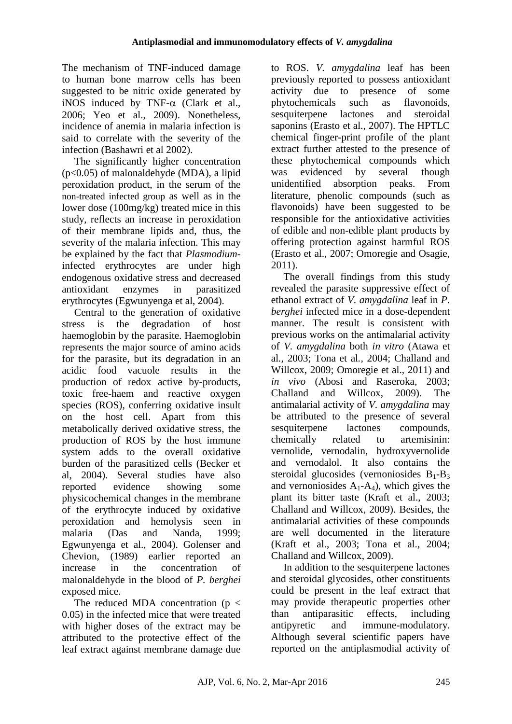The mechanism of TNF-induced damage to human bone marrow cells has been suggested to be nitric oxide generated by iNOS induced by TNF- $\alpha$  (Clark et al., 2006; Yeo et al., 2009). Nonetheless, incidence of anemia in malaria infection is said to correlate with the severity of the infection (Bashawri et al 2002).

The significantly higher concentration (p<0.05) of malonaldehyde (MDA), a lipid peroxidation product, in the serum of the non-treated infected group as well as in the lower dose (100mg/kg) treated mice in this study, reflects an increase in peroxidation of their membrane lipids and, thus, the severity of the malaria infection. This may be explained by the fact that *Plasmodium*infected erythrocytes are under high endogenous oxidative stress and decreased antioxidant enzymes in parasitized erythrocytes (Egwunyenga et al, 2004).

Central to the generation of oxidative stress is the degradation of host haemoglobin by the parasite. Haemoglobin represents the major source of amino acids for the parasite, but its degradation in an acidic food vacuole results in the production of redox active by-products, toxic free-haem and reactive oxygen species (ROS), conferring oxidative insult on the host cell. Apart from this metabolically derived oxidative stress, the production of ROS by the host immune system adds to the overall oxidative burden of the parasitized cells (Becker et al, 2004). Several studies have also reported evidence showing some physicochemical changes in the membrane of the erythrocyte induced by oxidative peroxidation and hemolysis seen in malaria (Das and Nanda, 1999; Egwunyenga et al., 2004). Golenser and Chevion, (1989) earlier reported an increase in the concentration of malonaldehyde in the blood of *P. berghei*  exposed mice.

The reduced MDA concentration ( $p <$ 0.05) in the infected mice that were treated with higher doses of the extract may be attributed to the protective effect of the leaf extract against membrane damage due to ROS. *V. amygdalina* leaf has been previously reported to possess antioxidant activity due to presence of some phytochemicals such as flavonoids, sesquiterpene lactones and steroidal saponins (Erasto et al., 2007). The HPTLC chemical finger-print profile of the plant extract further attested to the presence of these phytochemical compounds which was evidenced by several though unidentified absorption peaks. From literature, phenolic compounds (such as flavonoids) have been suggested to be responsible for the antioxidative activities of edible and non-edible plant products by offering protection against harmful ROS (Erasto et al., 2007; Omoregie and Osagie, 2011).

The overall findings from this study revealed the parasite suppressive effect of ethanol extract of *V. amygdalina* leaf in *P. berghei* infected mice in a dose-dependent manner. The result is consistent with previous works on the antimalarial activity of *V. amygdalina* both *in vitro* (Atawa et al*.,* 2003; Tona et al*.,* 2004; Challand and Willcox, 2009; Omoregie et al., 2011) and *in vivo* (Abosi and Raseroka, 2003; Challand and Willcox, 2009). The antimalarial activity of *V. amygdalina* may be attributed to the presence of several sesquiterpene lactones compounds, chemically related to artemisinin: vernolide, vernodalin, hydroxyvernolide and vernodalol. It also contains the steroidal glucosides (vernoniosides  $B_1 - B_3$ and vernoniosides  $A_1$ - $A_4$ ), which gives the plant its bitter taste (Kraft et al., 2003; Challand and Willcox, 2009). Besides, the antimalarial activities of these compounds are well documented in the literature (Kraft et al., 2003; Tona et al., 2004; Challand and Willcox, 2009).

In addition to the sesquiterpene lactones and steroidal glycosides, other constituents could be present in the leaf extract that may provide therapeutic properties other than antiparasitic effects, including antipyretic and immune-modulatory. Although several scientific papers have reported on the antiplasmodial activity of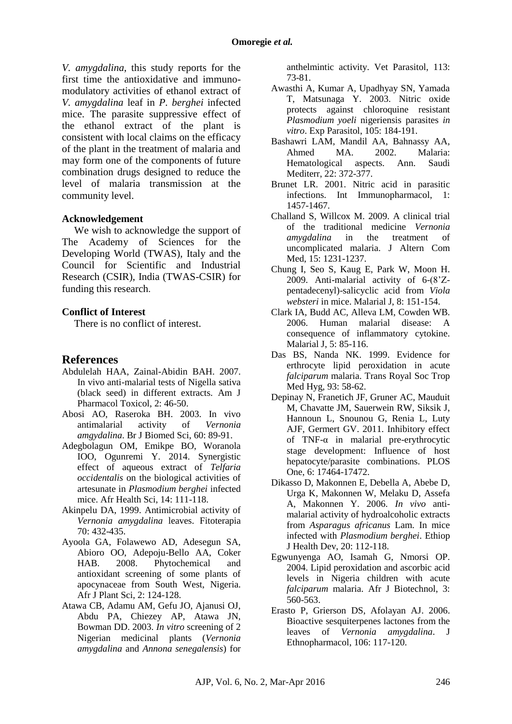*V. amygdalina*, this study reports for the first time the antioxidative and immunomodulatory activities of ethanol extract of *V. amygdalina* leaf in *P. berghei* infected mice. The parasite suppressive effect of the ethanol extract of the plant is consistent with local claims on the efficacy of the plant in the treatment of malaria and may form one of the components of future combination drugs designed to reduce the level of malaria transmission at the community level.

### **Acknowledgement**

We wish to acknowledge the support of The Academy of Sciences for the Developing World (TWAS), Italy and the Council for Scientific and Industrial Research (CSIR), India (TWAS-CSIR) for funding this research.

#### **Conflict of Interest**

There is no conflict of interest.

### **References**

- Abdulelah HAA, Zainal-Abidin BAH. 2007. In vivo anti-malarial tests of Nigella sativa (black seed) in different extracts. Am J Pharmacol Toxicol, 2: 46-50.
- Abosi AO, Raseroka BH. 2003. In vivo antimalarial activity of *Vernonia amgydalina*. Br J Biomed Sci, 60: 89-91.
- Adegbolagun OM, Emikpe BO, Woranola IOO, Ogunremi Y. 2014. Synergistic effect of aqueous extract of *Telfaria occidentalis* on the biological activities of artesunate in *Plasmodium berghei* infected mice. Afr Health Sci, 14: 111-118.
- Akinpelu DA, 1999. Antimicrobial activity of *Vernonia amygdalina* leaves. Fitoterapia 70: 432-435.
- Ayoola GA, Folawewo AD, Adesegun SA, Abioro OO, Adepoju-Bello AA, Coker HAB. 2008. Phytochemical and antioxidant screening of some plants of apocynaceae from South West, Nigeria. Afr J Plant Sci, 2: 124-128.
- Atawa CB, Adamu AM, Gefu JO, Ajanusi OJ, Abdu PA, Chiezey AP, Atawa JN, Bowman DD. 2003. *In vitro* screening of 2 Nigerian medicinal plants (*Vernonia amygdalina* and *Annona senegalensis*) for

anthelmintic activity. Vet Parasitol, 113: 73-81.

- Awasthi A, Kumar A, Upadhyay SN, Yamada T, Matsunaga Y. 2003. Nitric oxide protects against chloroquine resistant *Plasmodium yoeli* nigeriensis parasites *in vitro*. Exp Parasitol, 105: 184-191.
- Bashawri LAM, Mandil AA, Bahnassy AA, Ahmed MA. 2002. Malaria: Hematological aspects. Ann. Saudi Mediterr, 22: 372-377.
- Brunet LR. 2001. Nitric acid in parasitic infections. Int Immunopharmacol, 1: 1457-1467.
- Challand S, Willcox M. 2009. A clinical trial of the traditional medicine *Vernonia amygdalina* in the treatment of uncomplicated malaria. J Altern Com Med, 15: 1231-1237.
- Chung I, Seo S, Kaug E, Park W, Moon H. 2009. Anti-malarial activity of 6-(8'Zpentadecenyl)-salicyclic acid from *Viola websteri* in mice. Malarial J, 8: 151-154.
- Clark IA, Budd AC, Alleva LM, Cowden WB. 2006. Human malarial disease: A consequence of inflammatory cytokine. Malarial J, 5: 85-116.
- Das BS, Nanda NK. 1999. Evidence for erthrocyte lipid peroxidation in acute *falciparum* malaria. Trans Royal Soc Trop Med Hyg, 93: 58-62.
- Depinay N, Franetich JF, Gruner AC, Mauduit M, Chavatte JM, Sauerwein RW, Siksik J, Hannoun L, Snounou G, Renia L, Luty AJF, Germert GV. 2011. Inhibitory effect of TNF-α in malarial pre-erythrocytic stage development: Influence of host hepatocyte/parasite combinations. PLOS One, 6: 17464-17472.
- Dikasso D, Makonnen E, Debella A, Abebe D, Urga K, Makonnen W, Melaku D, Assefa A, Makonnen Y. 2006. *In vivo* antimalarial activity of hydroalcoholic extracts from *Asparagus africanus* Lam. In mice infected with *Plasmodium berghei*. Ethiop J Health Dev, 20: 112-118.
- Egwunyenga AO, Isamah G, Nmorsi OP. 2004. Lipid peroxidation and ascorbic acid levels in Nigeria children with acute *falciparum* malaria. Afr J Biotechnol, 3: 560-563.
- Erasto P, Grierson DS, Afolayan AJ. 2006. Bioactive sesquiterpenes lactones from the leaves of *Vernonia amygdalina*. J Ethnopharmacol, 106: 117-120.